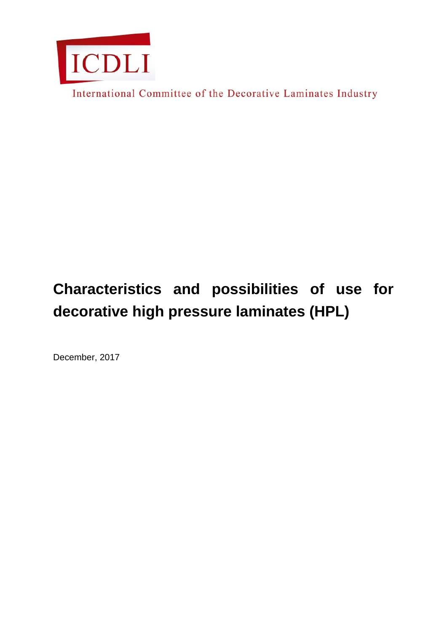

International Committee of the Decorative Laminates Industry

# **Characteristics and possibilities of use for decorative high pressure laminates (HPL)**

December, 2017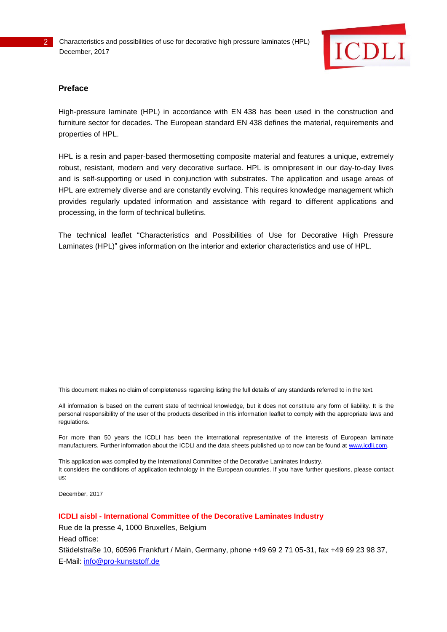

#### **Preface**

High-pressure laminate (HPL) in accordance with EN 438 has been used in the construction and furniture sector for decades. The European standard EN 438 defines the material, requirements and properties of HPL.

HPL is a resin and paper-based thermosetting composite material and features a unique, extremely robust, resistant, modern and very decorative surface. HPL is omnipresent in our day-to-day lives and is self-supporting or used in conjunction with substrates. The application and usage areas of HPL are extremely diverse and are constantly evolving. This requires knowledge management which provides regularly updated information and assistance with regard to different applications and processing, in the form of technical bulletins.

The technical leaflet "Characteristics and Possibilities of Use for Decorative High Pressure Laminates (HPL)" gives information on the interior and exterior characteristics and use of HPL.

This document makes no claim of completeness regarding listing the full details of any standards referred to in the text.

All information is based on the current state of technical knowledge, but it does not constitute any form of liability. It is the personal responsibility of the user of the products described in this information leaflet to comply with the appropriate laws and regulations.

For more than 50 years the ICDLI has been the international representative of the interests of European laminate manufacturers. Further information about the ICDLI and the data sheets published up to now can be found at [www.icdli.com.](http://www.icdli.com/)

This application was compiled by the International Committee of the Decorative Laminates Industry. It considers the conditions of application technology in the European countries. If you have further questions, please contact us:

December, 2017

**ICDLI aisbl - International Committee of the Decorative Laminates Industry**

Rue de la presse 4, 1000 Bruxelles, Belgium

Head office:

Städelstraße 10, 60596 Frankfurt / Main, Germany, phone +49 69 2 71 05-31, fax +49 69 23 98 37, E-Mail: [info@pro-kunststoff.de](mailto:info@pro-kunststoff.de)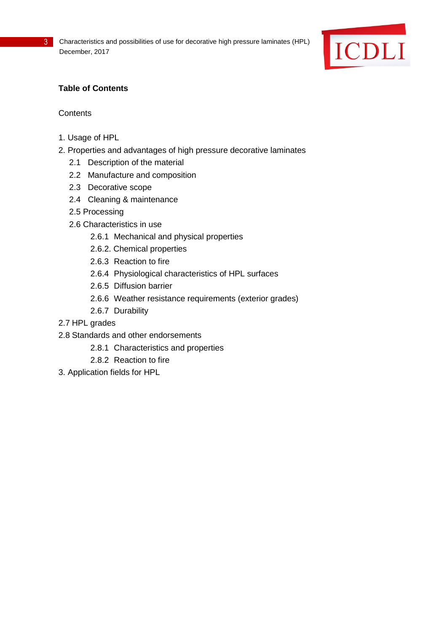

# **Table of Contents**

## **Contents**

- 1. Usage of HPL
- 2. Properties and advantages of high pressure decorative laminates
	- 2.1 Description of the material
	- 2.2 Manufacture and composition
	- 2.3 Decorative scope
	- 2.4 Cleaning & maintenance
	- 2.5 Processing
	- 2.6 Characteristics in use
		- 2.6.1 Mechanical and physical properties
		- 2.6.2. Chemical properties
		- 2.6.3 Reaction to fire
		- 2.6.4 Physiological characteristics of HPL surfaces
		- 2.6.5 Diffusion barrier
		- 2.6.6 Weather resistance requirements (exterior grades)
		- 2.6.7 Durability
- 2.7 HPL grades
- 2.8 Standards and other endorsements
	- 2.8.1 Characteristics and properties
	- 2.8.2 Reaction to fire
- 3. Application fields for HPL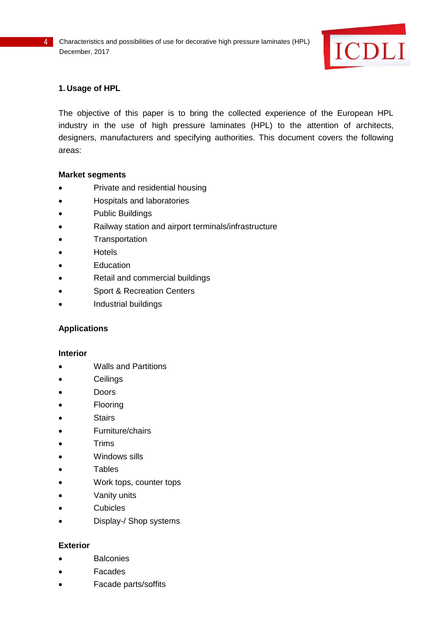

## **1. Usage of HPL**

The objective of this paper is to bring the collected experience of the European HPL industry in the use of high pressure laminates (HPL) to the attention of architects, designers, manufacturers and specifying authorities. This document covers the following areas:

#### **Market segments**

- Private and residential housing
- Hospitals and laboratories
- Public Buildings
- Railway station and airport terminals/infrastructure
- **•** Transportation
- **Hotels**
- **Education**
- Retail and commercial buildings
- Sport & Recreation Centers
- Industrial buildings

#### **Applications**

#### **Interior**

- Walls and Partitions
- **•** Ceilings
- Doors
- Flooring
- Stairs
- Furniture/chairs
- **•** Trims
- Windows sills
- Tables
- Work tops, counter tops
- Vanity units
- **Cubicles**
- Display-/ Shop systems

#### **Exterior**

- **Balconies**
- Facades
- Facade parts/soffits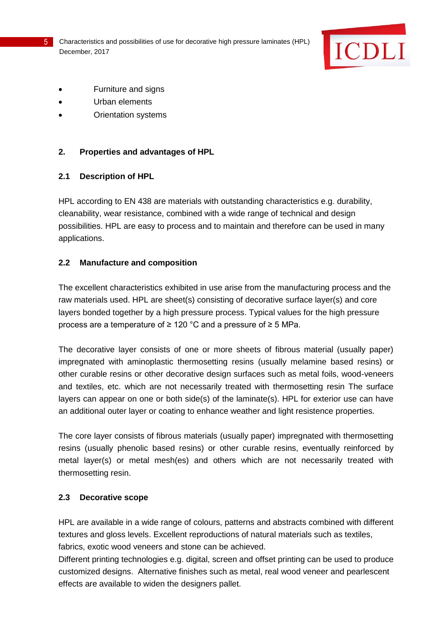

- Furniture and signs
- Urban elements
- Orientation systems

#### **2. Properties and advantages of HPL**

#### **2.1 Description of HPL**

HPL according to EN 438 are materials with outstanding characteristics e.g. durability, cleanability, wear resistance, combined with a wide range of technical and design possibilities. HPL are easy to process and to maintain and therefore can be used in many applications.

#### **2.2 Manufacture and composition**

The excellent characteristics exhibited in use arise from the manufacturing process and the raw materials used. HPL are sheet(s) consisting of decorative surface layer(s) and core layers bonded together by a high pressure process. Typical values for the high pressure process are a temperature of ≥ 120 °C and a pressure of ≥ 5 MPa.

The decorative layer consists of one or more sheets of fibrous material (usually paper) impregnated with aminoplastic thermosetting resins (usually melamine based resins) or other curable resins or other decorative design surfaces such as metal foils, wood-veneers and textiles, etc. which are not necessarily treated with thermosetting resin The surface layers can appear on one or both side(s) of the laminate(s). HPL for exterior use can have an additional outer layer or coating to enhance weather and light resistence properties.

The core layer consists of fibrous materials (usually paper) impregnated with thermosetting resins (usually phenolic based resins) or other curable resins, eventually reinforced by metal layer(s) or metal mesh(es) and others which are not necessarily treated with thermosetting resin.

## **2.3 Decorative scope**

HPL are available in a wide range of colours, patterns and abstracts combined with different textures and gloss levels. Excellent reproductions of natural materials such as textiles, fabrics, exotic wood veneers and stone can be achieved.

Different printing technologies e.g. digital, screen and offset printing can be used to produce customized designs. Alternative finishes such as metal, real wood veneer and pearlescent effects are available to widen the designers pallet.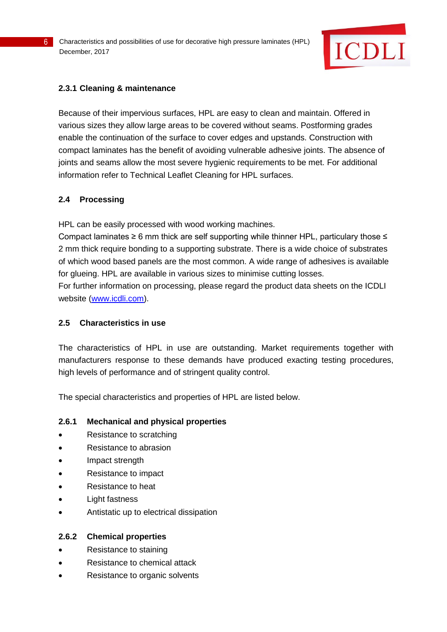

## **2.3.1 Cleaning & maintenance**

Because of their impervious surfaces, HPL are easy to clean and maintain. Offered in various sizes they allow large areas to be covered without seams. Postforming grades enable the continuation of the surface to cover edges and upstands. Construction with compact laminates has the benefit of avoiding vulnerable adhesive joints. The absence of joints and seams allow the most severe hygienic requirements to be met. For additional information refer to Technical Leaflet Cleaning for HPL surfaces.

## **2.4 Processing**

HPL can be easily processed with wood working machines.

Compact laminates ≥ 6 mm thick are self supporting while thinner HPL, particulary those ≤ 2 mm thick require bonding to a supporting substrate. There is a wide choice of substrates of which wood based panels are the most common. A wide range of adhesives is available for glueing. HPL are available in various sizes to minimise cutting losses.

For further information on processing, please regard the product data sheets on the ICDLI website [\(www.icdli.com\)](http://www.icdli.com/).

## **2.5 Characteristics in use**

The characteristics of HPL in use are outstanding. Market requirements together with manufacturers response to these demands have produced exacting testing procedures, high levels of performance and of stringent quality control.

The special characteristics and properties of HPL are listed below.

## **2.6.1 Mechanical and physical properties**

- Resistance to scratching
- Resistance to abrasion
- Impact strength
- Resistance to impact
- Resistance to heat
- Light fastness
- Antistatic up to electrical dissipation

## **2.6.2 Chemical properties**

- Resistance to staining
- Resistance to chemical attack
- Resistance to organic solvents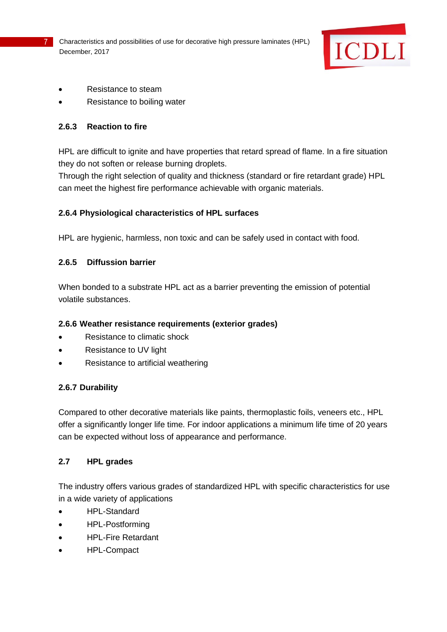

- Resistance to steam
- Resistance to boiling water

#### **2.6.3 Reaction to fire**

HPL are difficult to ignite and have properties that retard spread of flame. In a fire situation they do not soften or release burning droplets.

Through the right selection of quality and thickness (standard or fire retardant grade) HPL can meet the highest fire performance achievable with organic materials.

## **2.6.4 Physiological characteristics of HPL surfaces**

HPL are hygienic, harmless, non toxic and can be safely used in contact with food.

#### **2.6.5 Diffussion barrier**

When bonded to a substrate HPL act as a barrier preventing the emission of potential volatile substances.

## **2.6.6 Weather resistance requirements (exterior grades)**

- Resistance to climatic shock
- Resistance to UV light
- Resistance to artificial weathering

## **2.6.7 Durability**

Compared to other decorative materials like paints, thermoplastic foils, veneers etc., HPL offer a significantly longer life time. For indoor applications a minimum life time of 20 years can be expected without loss of appearance and performance.

## **2.7 HPL grades**

The industry offers various grades of standardized HPL with specific characteristics for use in a wide variety of applications

- HPL-Standard
- HPL-Postforming
- HPL-Fire Retardant
- HPL-Compact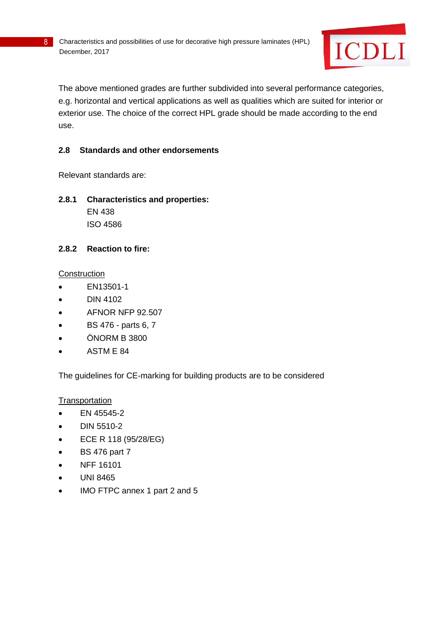

The above mentioned grades are further subdivided into several performance categories, e.g. horizontal and vertical applications as well as qualities which are suited for interior or exterior use. The choice of the correct HPL grade should be made according to the end use.

## **2.8 Standards and other endorsements**

Relevant standards are:

**2.8.1 Characteristics and properties:**  EN 438 ISO 4586

#### **2.8.2 Reaction to fire:**

#### **Construction**

- EN13501-1
- $\bullet$  DIN 4102
- AFNOR NFP 92.507
- BS 476 parts 6, 7
- ÖNORM B 3800
- ASTM E 84

The guidelines for CE-marking for building products are to be considered

**Transportation** 

- EN 45545-2
- $\bullet$  DIN 5510-2
- ECE R 118 (95/28/EG)
- BS 476 part 7
- NFF 16101
- UNI 8465
- IMO FTPC annex 1 part 2 and 5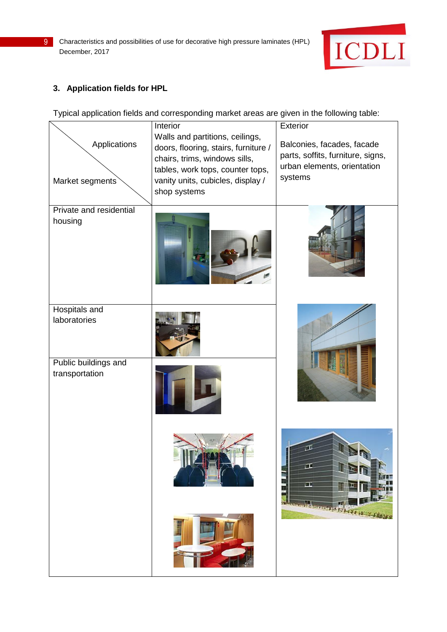

# **3. Application fields for HPL**

Typical application fields and corresponding market areas are given in the following table:

| Applications<br>Market segments        | Interior<br>Walls and partitions, ceilings,<br>doors, flooring, stairs, furniture /<br>chairs, trims, windows sills,<br>tables, work tops, counter tops,<br>vanity units, cubicles, display /<br>shop systems | Exterior<br>Balconies, facades, facade<br>parts, soffits, furniture, signs,<br>urban elements, orientation<br>systems |
|----------------------------------------|---------------------------------------------------------------------------------------------------------------------------------------------------------------------------------------------------------------|-----------------------------------------------------------------------------------------------------------------------|
| Private and residential<br>housing     |                                                                                                                                                                                                               |                                                                                                                       |
| Hospitals and<br>laboratories          |                                                                                                                                                                                                               |                                                                                                                       |
| Public buildings and<br>transportation |                                                                                                                                                                                                               |                                                                                                                       |
|                                        |                                                                                                                                                                                                               | 直<br>œ<br>鵐<br>وتقطعا                                                                                                 |
|                                        |                                                                                                                                                                                                               | STORY AT 18421 IN 19-1891                                                                                             |